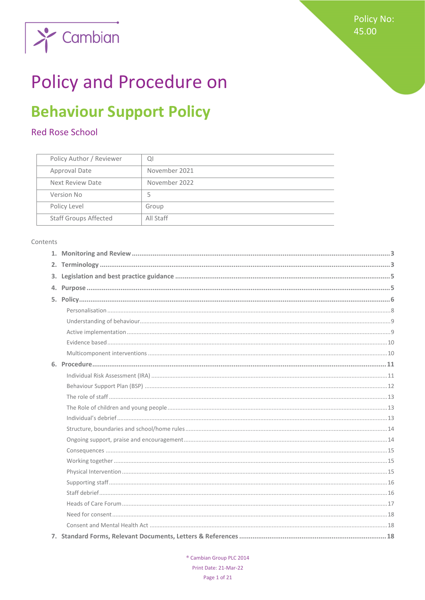

# **Policy and Procedure on**

## **Behaviour Support Policy**

## Red Rose School

| Policy Author / Reviewer     | ΩI            |
|------------------------------|---------------|
| <b>Approval Date</b>         | November 2021 |
| Next Review Date             | November 2022 |
| Version No                   |               |
| Policy Level                 | Group         |
| <b>Staff Groups Affected</b> | All Staff     |

#### Contents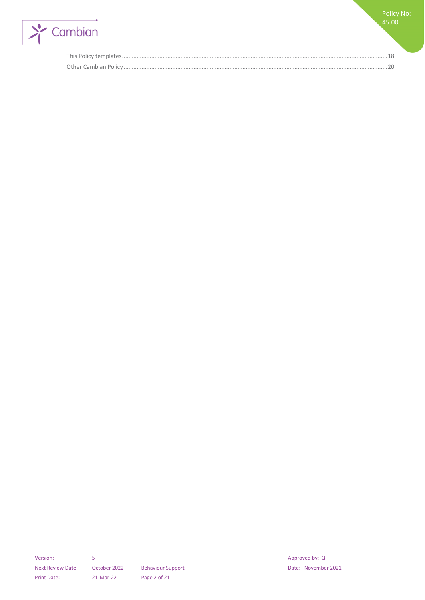

Policy No: 45.00

Next Review Date: October 2022 Behaviour Support Date: November 2021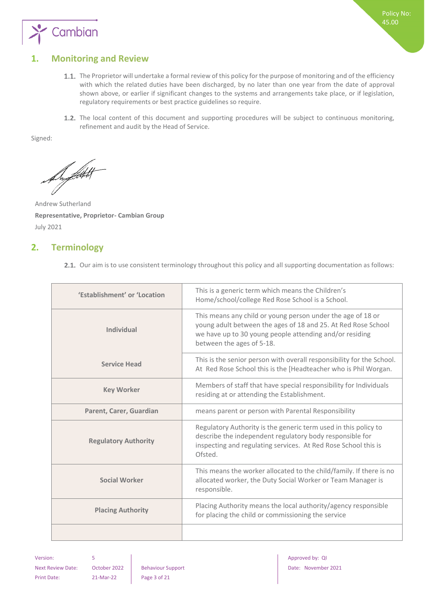

## <span id="page-2-0"></span>**1. Monitoring and Review**

- 1.1. The Proprietor will undertake a formal review of this policy for the purpose of monitoring and of the efficiency with which the related duties have been discharged, by no later than one year from the date of approval shown above, or earlier if significant changes to the systems and arrangements take place, or if legislation, regulatory requirements or best practice guidelines so require.
- 1.2. The local content of this document and supporting procedures will be subject to continuous monitoring, refinement and audit by the Head of Service.

Signed:

De filtet

Andrew Sutherland **Representative, Proprietor- Cambian Group** July 2021

## <span id="page-2-1"></span>**2. Terminology**

2.1. Our aim is to use consistent terminology throughout this policy and all supporting documentation as follows:

| 'Establishment' or 'Location | This is a generic term which means the Children's<br>Home/school/college Red Rose School is a School.                                                                                                                |
|------------------------------|----------------------------------------------------------------------------------------------------------------------------------------------------------------------------------------------------------------------|
| Individual                   | This means any child or young person under the age of 18 or<br>young adult between the ages of 18 and 25. At Red Rose School<br>we have up to 30 young people attending and/or residing<br>between the ages of 5-18. |
| <b>Service Head</b>          | This is the senior person with overall responsibility for the School.<br>At Red Rose School this is the [Headteacher who is Phil Worgan.                                                                             |
| <b>Key Worker</b>            | Members of staff that have special responsibility for Individuals<br>residing at or attending the Establishment.                                                                                                     |
| Parent, Carer, Guardian      | means parent or person with Parental Responsibility                                                                                                                                                                  |
| <b>Regulatory Authority</b>  | Regulatory Authority is the generic term used in this policy to<br>describe the independent regulatory body responsible for<br>inspecting and regulating services. At Red Rose School this is<br>Ofsted.             |
| <b>Social Worker</b>         | This means the worker allocated to the child/family. If there is no<br>allocated worker, the Duty Social Worker or Team Manager is<br>responsible.                                                                   |
| <b>Placing Authority</b>     | Placing Authority means the local authority/agency responsible<br>for placing the child or commissioning the service                                                                                                 |
|                              |                                                                                                                                                                                                                      |

Print Date: 21-Mar-22 Page 3 of 21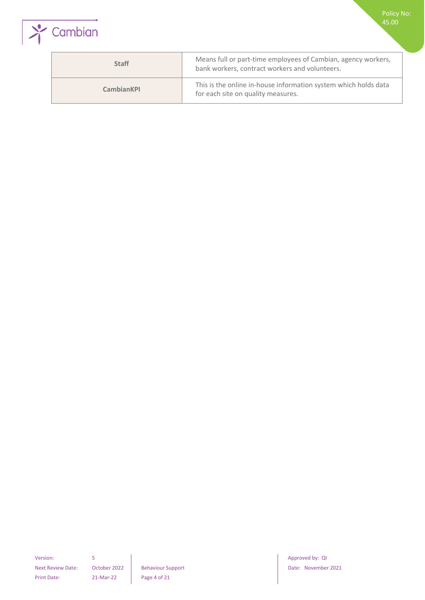

| <b>Staff</b>      | Means full or part-time employees of Cambian, agency workers,<br>bank workers, contract workers and volunteers. |
|-------------------|-----------------------------------------------------------------------------------------------------------------|
| <b>CambianKPI</b> | This is the online in-house information system which holds data<br>for each site on quality measures.           |

Version: 5 **5 1 Approved by: QI** Print Date: 21-Mar-22 Page 4 of 21

Next Review Date: October 2022 Behaviour Support Date: November 2021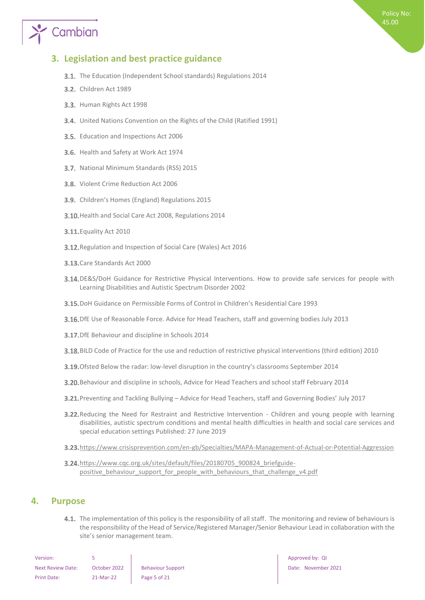# Cambian

## <span id="page-4-0"></span>**3. Legislation and best practice guidance**

- **3.1.** The Education (Independent School standards) Regulations 2014
- **3.2.** Children Act 1989
- 3.3. Human Rights Act 1998
- United Nations Convention on the Rights of the Child (Ratified 1991)
- 3.5. Education and Inspections Act 2006
- 3.6. Health and Safety at Work Act 1974
- 3.7. National Minimum Standards (RSS) 2015
- 3.8. Violent Crime Reduction Act 2006
- 3.9. Children's Homes (England) Regulations 2015
- 3.10. Health and Social Care Act 2008, Regulations 2014
- **3.11.** Equality Act 2010
- 3.12. Regulation and Inspection of Social Care (Wales) Act 2016
- 3.13. Care Standards Act 2000
- 3.14. DE&S/DoH Guidance for Restrictive Physical Interventions. How to provide safe services for people with Learning Disabilities and Autistic Spectrum Disorder 2002
- DoH Guidance on Permissible Forms of Control in Children's Residential Care 1993
- 3.16. DfE Use of Reasonable Force. Advice for Head Teachers, staff and governing bodies July 2013
- **3.17.** DfE Behaviour and discipline in Schools 2014
- BILD Code of Practice for the use and reduction of restrictive physical interventions (third edition) 2010
- 3.19. Ofsted Below the radar: low-level disruption in the country's classrooms September 2014
- Behaviour and discipline in schools, Advice for Head Teachers and school staff February 2014
- Preventing and Tackling Bullying Advice for Head Teachers, staff and Governing Bodies' July 2017
- 3.22. Reducing the Need for Restraint and Restrictive Intervention Children and young people with learning disabilities, autistic spectrum conditions and mental health difficulties in health and social care services and special education settings Published: 27 June 2019
- 3.23. <https://www.crisisprevention.com/en-gb/Specialties/MAPA-Management-of-Actual-or-Potential-Aggression>
- 3.24. [https://www.cqc.org.uk/sites/default/files/20180705\\_900824\\_briefguide](https://www.cqc.org.uk/sites/default/files/20180705_900824_briefguide-positive_behaviour_support_for_people_with_behaviours_that_challenge_v4.pdf)positive behaviour support for people with behaviours that challenge v4.pdf

### <span id="page-4-1"></span>**4. Purpose**

4.1. The implementation of this policy is the responsibility of all staff. The monitoring and review of behaviours is the responsibility of the Head of Service/Registered Manager/Senior Behaviour Lead in collaboration with the site's senior management team.

| Version:                 |              |                          |
|--------------------------|--------------|--------------------------|
| <b>Next Review Date:</b> | October 2022 | <b>Behaviour Support</b> |
| Print Date:              | 21-Mar-22    | Page 5 of 21             |

Approved by: QI Date: November 2021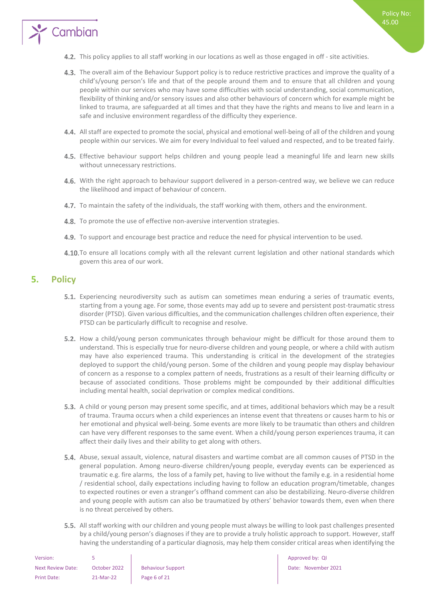

- 4.3. The overall aim of the Behaviour Support policy is to reduce restrictive practices and improve the quality of a child's/young person's life and that of the people around them and to ensure that all children and young people within our services who may have some difficulties with social understanding, social communication, flexibility of thinking and/or sensory issues and also other behaviours of concern which for example might be linked to trauma, are safeguarded at all times and that they have the rights and means to live and learn in a safe and inclusive environment regardless of the difficulty they experience.
- All staff are expected to promote the social, physical and emotional well-being of all of the children and young people within our services. We aim for every Individual to feel valued and respected, and to be treated fairly.
- 4.5. Effective behaviour support helps children and young people lead a meaningful life and learn new skills without unnecessary restrictions.
- 4.6. With the right approach to behaviour support delivered in a person-centred way, we believe we can reduce the likelihood and impact of behaviour of concern.
- 4.7. To maintain the safety of the individuals, the staff working with them, others and the environment.
- 4.8. To promote the use of effective non-aversive intervention strategies.
- 4.9. To support and encourage best practice and reduce the need for physical intervention to be used.
- 4.10. To ensure all locations comply with all the relevant current legislation and other national standards which govern this area of our work.

## <span id="page-5-0"></span>**5. Policy**

Cambian

- Experiencing neurodiversity such as autism can sometimes mean enduring a series of traumatic events, starting from a young age. For some, those events may add up to severe and persistent post-traumatic stress disorder (PTSD). Given various difficulties, and the communication challenges children often experience, their PTSD can be particularly difficult to recognise and resolve.
- 5.2. How a child/young person communicates through behaviour might be difficult for those around them to understand. This is especially true for neuro-diverse children and young people, or where a child with autism may have also experienced trauma. This understanding is critical in the development of the strategies deployed to support the child/young person. Some of the children and young people may display behaviour of concern as a response to a complex pattern of needs, frustrations as a result of their learning difficulty or because of associated conditions. Those problems might be compounded by their additional difficulties including mental health, social deprivation or complex medical conditions.
- 5.3. A child or young person may present some specific, and at times, additional behaviors which may be a result of trauma. Trauma occurs when a child experiences an intense event that threatens or causes harm to his or her emotional and physical well-being. Some events are more likely to be traumatic than others and children can have very different responses to the same event. When a child/young person experiences trauma, it can affect their daily lives and their ability to get along with others.
- 5.4. Abuse, sexual assault, violence, natural disasters and wartime combat are all common causes of PTSD in the general population. Among neuro-diverse children/young people, everyday events can be experienced as traumatic e.g. fire alarms, the loss of a family pet, having to live without the family e.g. in a residential home / residential school, daily expectations including having to follow an education program/timetable, changes to expected routines or even a stranger's offhand comment can also be destabilizing. Neuro-diverse children and young people with autism can also be traumatized by others' behavior towards them, even when there is no threat perceived by others.
- 5.5. All staff working with our children and young people must always be willing to look past challenges presented by a child/young person's diagnoses if they are to provide a truly holistic approach to support. However, staff having the understanding of a particular diagnosis, may help them consider critical areas when identifying the

| Version:                 |              |                          |
|--------------------------|--------------|--------------------------|
| <b>Next Review Date:</b> | October 2022 | <b>Behaviour Support</b> |
| Print Date:              | 21-Mar-22    | Page 6 of 21             |

Approved by: QI Date: November 2021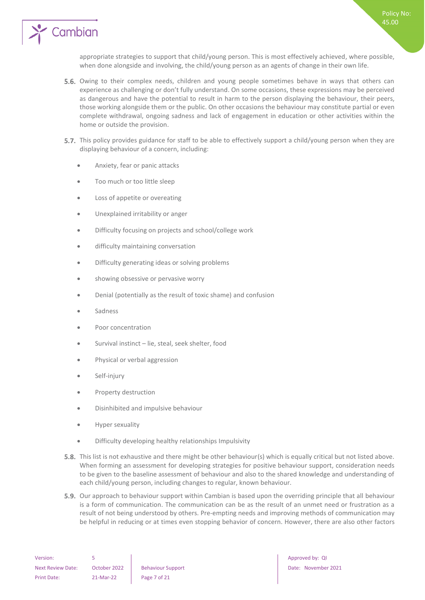

appropriate strategies to support that child/young person. This is most effectively achieved, where possible, when done alongside and involving, the child/young person as an agents of change in their own life.

- 5.6. Owing to their complex needs, children and young people sometimes behave in ways that others can experience as challenging or don't fully understand. On some occasions, these expressions may be perceived as dangerous and have the potential to result in harm to the person displaying the behaviour, their peers, those working alongside them or the public. On other occasions the behaviour may constitute partial or even complete withdrawal, ongoing sadness and lack of engagement in education or other activities within the home or outside the provision.
- 5.7. This policy provides guidance for staff to be able to effectively support a child/young person when they are displaying behaviour of a concern, including:
	- Anxiety, fear or panic attacks
	- Too much or too little sleep
	- Loss of appetite or overeating
	- Unexplained irritability or anger
	- Difficulty focusing on projects and school/college work
	- difficulty maintaining conversation
	- Difficulty generating ideas or solving problems
	- showing obsessive or pervasive worry
	- Denial (potentially as the result of toxic shame) and confusion
	- **Sadness**
	- Poor concentration
	- Survival instinct lie, steal, seek shelter, food
	- Physical or verbal aggression
	- Self-injury
	- Property destruction
	- Disinhibited and impulsive behaviour
	- Hyper sexuality
	- Difficulty developing healthy relationships Impulsivity
- **5.8.** This list is not exhaustive and there might be other behaviour(s) which is equally critical but not listed above. When forming an assessment for developing strategies for positive behaviour support, consideration needs to be given to the baseline assessment of behaviour and also to the shared knowledge and understanding of each child/young person, including changes to regular, known behaviour.
- **5.9.** Our approach to behaviour support within Cambian is based upon the overriding principle that all behaviour is a form of communication. The communication can be as the result of an unmet need or frustration as a result of not being understood by others. Pre-empting needs and improving methods of communication may be helpful in reducing or at times even stopping behavior of concern. However, there are also other factors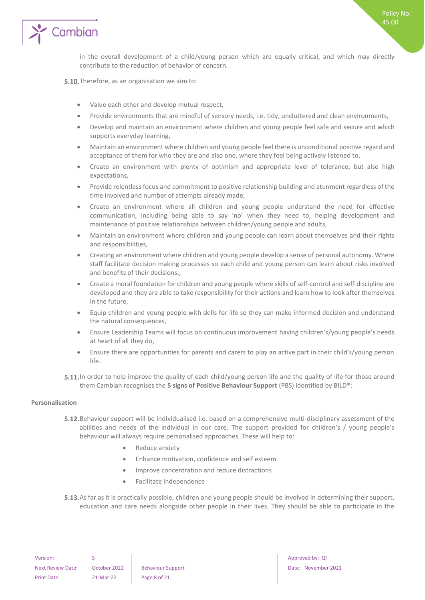

in the overall development of a child/young person which are equally critical, and which may directly contribute to the reduction of behavior of concern.

5.10. Therefore, as an organisation we aim to:

- Value each other and develop mutual respect,
- Provide environments that are mindful of sensory needs, i.e. tidy, uncluttered and clean environments,
- Develop and maintain an environment where children and young people feel safe and secure and which supports everyday learning,
- Maintain an environment where children and young people feel there is unconditional positive regard and acceptance of them for who they are and also one, where they feel being actively listened to,
- Create an environment with plenty of optimism and appropriate level of tolerance, but also high expectations,
- Provide relentless focus and commitment to positive relationship building and atunment regardless of the time involved and number of attempts already made,
- Create an environment where all children and young people understand the need for effective communication, including being able to say 'no' when they need to, helping development and maintenance of positive relationships between children/young people and adults,
- Maintain an environment where children and young people can learn about themselves and their rights and responsibilities,
- Creating an environment where children and young people develop a sense of personal autonomy. Where staff facilitate decision making processes so each child and young person can learn about risks involved and benefits of their decisions.,
- Create a moral foundation for children and young people where skills of self-control and self-discipline are developed and they are able to take responsibility for their actions and learn how to look after themselves in the future,
- Equip children and young people with skills for life so they can make informed decision and understand the natural consequences,
- Ensure Leadership Teams will focus on continuous improvement having children's/young people's needs at heart of all they do,
- Ensure there are opportunities for parents and carers to play an active part in their child's/young person life.
- 5.11. In order to help improve the quality of each child/young person life and the quality of life for those around them Cambian recognises the **5 signs of Positive Behaviour Support** (PBS) identified by BILD®:

#### <span id="page-7-0"></span>**Personalisation**

- 5.12. Behaviour support will be individualised i.e. based on a comprehensive multi-disciplinary assessment of the abilities and needs of the individual in our care. The support provided for children's / young people's behaviour will always require personalised approaches. These will help to:
	- Reduce anxiety
	- Enhance motivation, confidence and self esteem
	- Improve concentration and reduce distractions
	- Facilitate independence
- 5.13. As far as it is practically possible, children and young people should be involved in determining their support, education and care needs alongside other people in their lives. They should be able to participate in the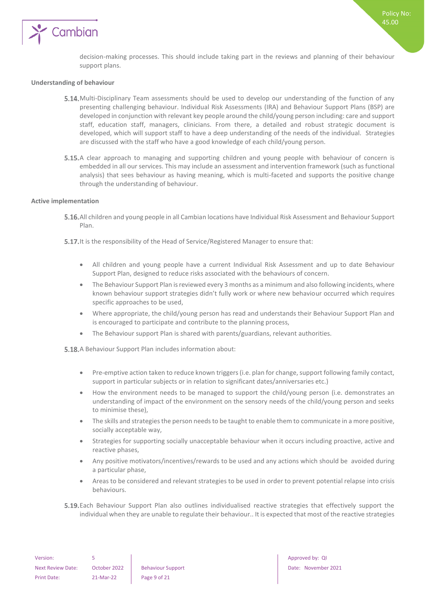

Policy No: 45.00

#### <span id="page-8-0"></span>**Understanding of behaviour**

- 5.14. Multi-Disciplinary Team assessments should be used to develop our understanding of the function of any presenting challenging behaviour. Individual Risk Assessments (IRA) and Behaviour Support Plans (BSP) are developed in conjunction with relevant key people around the child/young person including: care and support staff, education staff, managers, clinicians. From there, a detailed and robust strategic document is developed, which will support staff to have a deep understanding of the needs of the individual. Strategies are discussed with the staff who have a good knowledge of each child/young person.
- 5.15. A clear approach to managing and supporting children and young people with behaviour of concern is embedded in all our services. This may include an assessment and intervention framework (such as functional analysis) that sees behaviour as having meaning, which is multi-faceted and supports the positive change through the understanding of behaviour.

#### <span id="page-8-1"></span>**Active implementation**

- All children and young people in all Cambian locations have Individual Risk Assessment and Behaviour Support Plan.
- 5.17. It is the responsibility of the Head of Service/Registered Manager to ensure that:
	- All children and young people have a current Individual Risk Assessment and up to date Behaviour Support Plan, designed to reduce risks associated with the behaviours of concern.
	- The Behaviour Support Plan is reviewed every 3 months as a minimum and also following incidents, where known behaviour support strategies didn't fully work or where new behaviour occurred which requires specific approaches to be used,
	- Where appropriate, the child/young person has read and understands their Behaviour Support Plan and is encouraged to participate and contribute to the planning process,
	- The Behaviour support Plan is shared with parents/guardians, relevant authorities.

**5.18.** A Behaviour Support Plan includes information about:

- Pre-emptive action taken to reduce known triggers (i.e. plan for change, support following family contact, support in particular subjects or in relation to significant dates/anniversaries etc.)
- How the environment needs to be managed to support the child/young person (i.e. demonstrates an understanding of impact of the environment on the sensory needs of the child/young person and seeks to minimise these),
- The skills and strategies the person needs to be taught to enable them to communicate in a more positive, socially acceptable way,
- Strategies for supporting socially unacceptable behaviour when it occurs including proactive, active and reactive phases,
- Any positive motivators/incentives/rewards to be used and any actions which should be avoided during a particular phase,
- Areas to be considered and relevant strategies to be used in order to prevent potential relapse into crisis behaviours.
- Each Behaviour Support Plan also outlines individualised reactive strategies that effectively support the individual when they are unable to regulate their behaviour.. It is expected that most of the reactive strategies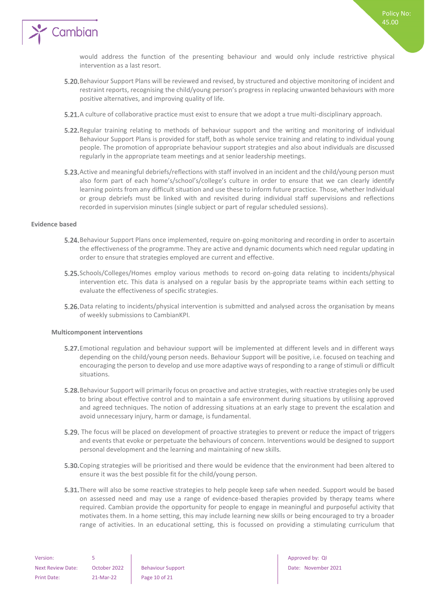

would address the function of the presenting behaviour and would only include restrictive physical intervention as a last resort.

- Behaviour Support Plans will be reviewed and revised, by structured and objective monitoring of incident and restraint reports, recognising the child/young person's progress in replacing unwanted behaviours with more positive alternatives, and improving quality of life.
- **5.21.** A culture of collaborative practice must exist to ensure that we adopt a true multi-disciplinary approach.
- **5.22.** Regular training relating to methods of behaviour support and the writing and monitoring of individual Behaviour Support Plans is provided for staff, both as whole service training and relating to individual young people. The promotion of appropriate behaviour support strategies and also about individuals are discussed regularly in the appropriate team meetings and at senior leadership meetings.
- 5.23. Active and meaningful debriefs/reflections with staff involved in an incident and the child/young person must also form part of each home's/school's/college's culture in order to ensure that we can clearly identify learning points from any difficult situation and use these to inform future practice. Those, whether Individual or group debriefs must be linked with and revisited during individual staff supervisions and reflections recorded in supervision minutes (single subject or part of regular scheduled sessions).

#### <span id="page-9-0"></span>**Evidence based**

- **5.24.** Behaviour Support Plans once implemented, require on-going monitoring and recording in order to ascertain the effectiveness of the programme. They are active and dynamic documents which need regular updating in order to ensure that strategies employed are current and effective.
- 5.25. Schools/Colleges/Homes employ various methods to record on-going data relating to incidents/physical intervention etc. This data is analysed on a regular basis by the appropriate teams within each setting to evaluate the effectiveness of specific strategies.
- 5.26. Data relating to incidents/physical intervention is submitted and analysed across the organisation by means of weekly submissions to CambianKPI.

#### <span id="page-9-1"></span>**Multicomponent interventions**

- **5.27.** Emotional regulation and behaviour support will be implemented at different levels and in different ways depending on the child/young person needs. Behaviour Support will be positive, i.e. focused on teaching and encouraging the person to develop and use more adaptive ways of responding to a range of stimuli or difficult situations.
- 5.28. Behaviour Support will primarily focus on proactive and active strategies, with reactive strategies only be used to bring about effective control and to maintain a safe environment during situations by utilising approved and agreed techniques. The notion of addressing situations at an early stage to prevent the escalation and avoid unnecessary injury, harm or damage, is fundamental.
- 5.29. The focus will be placed on development of proactive strategies to prevent or reduce the impact of triggers and events that evoke or perpetuate the behaviours of concern. Interventions would be designed to support personal development and the learning and maintaining of new skills.
- **5.30.** Coping strategies will be prioritised and there would be evidence that the environment had been altered to ensure it was the best possible fit for the child/young person.
- **5.31.** There will also be some reactive strategies to help people keep safe when needed. Support would be based on assessed need and may use a range of evidence-based therapies provided by therapy teams where required. Cambian provide the opportunity for people to engage in meaningful and purposeful activity that motivates them. In a home setting, this may include learning new skills or being encouraged to try a broader range of activities. In an educational setting, this is focussed on providing a stimulating curriculum that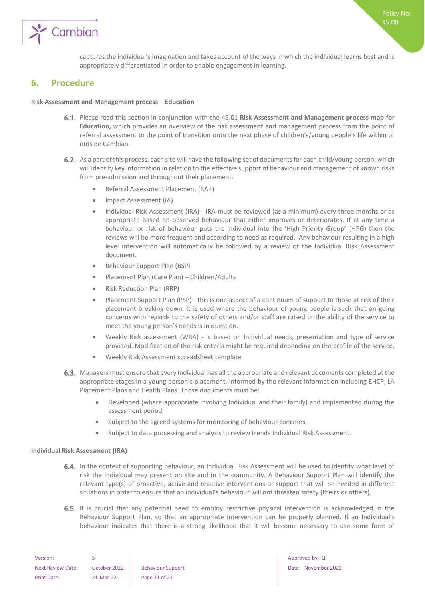

captures the individual's imagination and takes account of the ways in which the individual learns best and is appropriately differentiated in order to enable engagement in learning.

## <span id="page-10-0"></span>**6. Procedure**

#### **Risk Assessment and Management process – Education**

- Please read this section in conjunction with the 45.01 **Risk Assessment and Management process map for Education,** which provides an overview of the risk assessment and management process from the point of referral assessment to the point of transition onto the next phase of children's/young people's life within or outside Cambian.
- 6.2. As a part of this process, each site will have the following set of documents for each child/young person, which will identify key information in relation to the effective support of behaviour and management of known risks from pre-admission and throughout their placement.
	- Referral Assessment Placement (RAP)
	- Impact Assessment (IA)
	- Individual Risk Assessment (IRA) IRA must be reviewed (as a minimum) every three months or as appropriate based on observed behaviour that either improves or deteriorates. If at any time a behaviour or risk of behaviour puts the individual into the 'High Priority Group' (HPG) then the reviews will be more frequent and according to need as required. Any behaviour resulting in a high level intervention will automatically be followed by a review of the Individual Risk Assessment document.
	- Behaviour Support Plan (BSP)
	- Placement Plan (Care Plan) Children/Adults
	- Risk Reduction Plan (RRP)
	- Placement Support Plan (PSP) this is one aspect of a continuum of support to those at risk of their placement breaking down. It is used where the behaviour of young people is such that on-going concerns with regards to the safety of others and/or staff are raised or the ability of the service to meet the young person's needs is in question.
	- Weekly Risk assessment (WRA) is based on Individual needs, presentation and type of service provided. Modification of the risk criteria might be required depending on the profile of the service.
	- Weekly Risk Assessment spreadsheet template
- 6.3. Managers must ensure that every individual has all the appropriate and relevant documents completed at the appropriate stages in a young person's placement, informed by the relevant information including EHCP, LA Placement Plans and Health Plans. Those documents must be:
	- Developed (where appropriate involving Individual and their family) and implemented during the assessment period,
	- Subject to the agreed systems for monitoring of behaviour concerns,
	- Subject to data processing and analysis to review trends Individual Risk Assessment.

#### <span id="page-10-1"></span>**Individual Risk Assessment (IRA)**

- 6.4. In the context of supporting behaviour, an Individual Risk Assessment will be used to identify what level of risk the individual may present on site and in the community. A Behaviour Support Plan will identify the relevant type(s) of proactive, active and reactive interventions or support that will be needed in different situations in order to ensure that an individual's behaviour will not threaten safety (theirs or others).
- 6.5. It is crucial that any potential need to employ restrictive physical intervention is acknowledged in the Behaviour Support Plan, so that an appropriate intervention can be properly planned. If an Individual's behaviour indicates that there is a strong likelihood that it will become necessary to use some form of

| Version:                 |              |                          |
|--------------------------|--------------|--------------------------|
| <b>Next Review Date:</b> | October 2022 | <b>Behaviour Support</b> |
| Print Date:              | 21-Mar-22    | Page 11 of 21            |

Approved by: QI Date: November 2021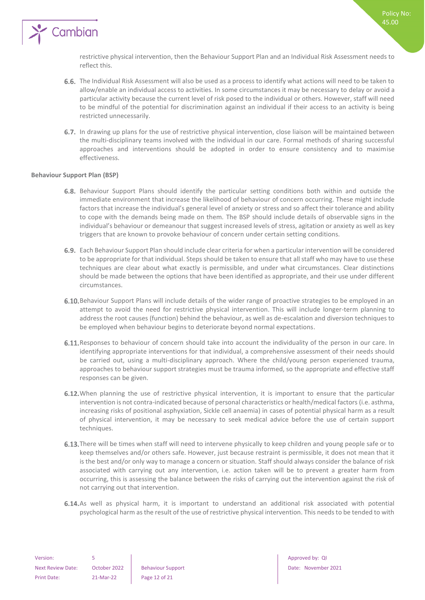

restrictive physical intervention, then the Behaviour Support Plan and an Individual Risk Assessment needs to reflect this.

- 6.6. The Individual Risk Assessment will also be used as a process to identify what actions will need to be taken to allow/enable an individual access to activities. In some circumstances it may be necessary to delay or avoid a particular activity because the current level of risk posed to the individual or others. However, staff will need to be mindful of the potential for discrimination against an individual if their access to an activity is being restricted unnecessarily.
- 6.7. In drawing up plans for the use of restrictive physical intervention, close liaison will be maintained between the multi-disciplinary teams involved with the individual in our care. Formal methods of sharing successful approaches and interventions should be adopted in order to ensure consistency and to maximise effectiveness.

#### <span id="page-11-0"></span>**Behaviour Support Plan (BSP)**

- 6.8. Behaviour Support Plans should identify the particular setting conditions both within and outside the immediate environment that increase the likelihood of behaviour of concern occurring. These might include factors that increase the individual's general level of anxiety or stress and so affect their tolerance and ability to cope with the demands being made on them. The BSP should include details of observable signs in the individual's behaviour or demeanour that suggest increased levels of stress, agitation or anxiety as well as key triggers that are known to provoke behaviour of concern under certain setting conditions.
- Each Behaviour Support Plan should include clear criteria for when a particular intervention will be considered to be appropriate for that individual. Steps should be taken to ensure that all staff who may have to use these techniques are clear about what exactly is permissible, and under what circumstances. Clear distinctions should be made between the options that have been identified as appropriate, and their use under different circumstances.
- 6.10. Behaviour Support Plans will include details of the wider range of proactive strategies to be employed in an attempt to avoid the need for restrictive physical intervention. This will include longer-term planning to address the root causes (function) behind the behaviour, as well as de-escalation and diversion techniques to be employed when behaviour begins to deteriorate beyond normal expectations.
- 6.11. Responses to behaviour of concern should take into account the individuality of the person in our care. In identifying appropriate interventions for that individual, a comprehensive assessment of their needs should be carried out, using a multi-disciplinary approach. Where the child/young person experienced trauma, approaches to behaviour support strategies must be trauma informed, so the appropriate and effective staff responses can be given.
- 6.12. When planning the use of restrictive physical intervention, it is important to ensure that the particular intervention is not contra-indicated because of personal characteristics or health/medical factors (i.e. asthma, increasing risks of positional asphyxiation, Sickle cell anaemia) in cases of potential physical harm as a result of physical intervention, it may be necessary to seek medical advice before the use of certain support techniques.
- 6.13. There will be times when staff will need to intervene physically to keep children and young people safe or to keep themselves and/or others safe. However, just because restraint is permissible, it does not mean that it is the best and/or only way to manage a concern or situation. Staff should always consider the balance of risk associated with carrying out any intervention, i.e. action taken will be to prevent a greater harm from occurring, this is assessing the balance between the risks of carrying out the intervention against the risk of not carrying out that intervention.
- 6.14. As well as physical harm, it is important to understand an additional risk associated with potential psychological harm as the result of the use of restrictive physical intervention. This needs to be tended to with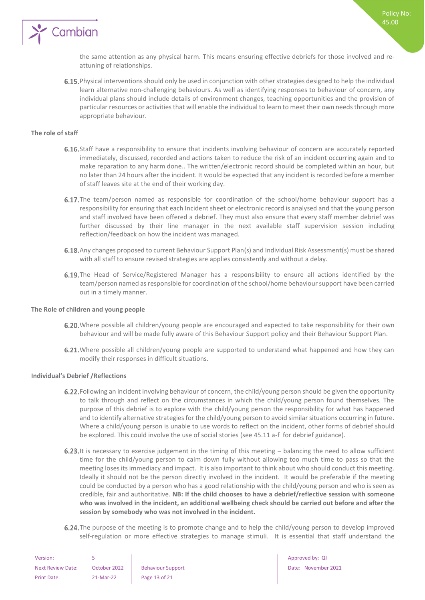

the same attention as any physical harm. This means ensuring effective debriefs for those involved and reattuning of relationships.

6.15. Physical interventions should only be used in conjunction with other strategies designed to help the individual learn alternative non-challenging behaviours. As well as identifying responses to behaviour of concern, any individual plans should include details of environment changes, teaching opportunities and the provision of particular resources or activities that will enable the individual to learn to meet their own needs through more appropriate behaviour.

#### <span id="page-12-0"></span>**The role of staff**

- 6.16. Staff have a responsibility to ensure that incidents involving behaviour of concern are accurately reported immediately, discussed, recorded and actions taken to reduce the risk of an incident occurring again and to make reparation to any harm done.. The written/electronic record should be completed within an hour, but no later than 24 hours after the incident. It would be expected that any incident is recorded before a member of staff leaves site at the end of their working day.
- **6.17.** The team/person named as responsible for coordination of the school/home behaviour support has a responsibility for ensuring that each Incident sheet or electronic record is analysed and that the young person and staff involved have been offered a debrief. They must also ensure that every staff member debrief was further discussed by their line manager in the next available staff supervision session including reflection/feedback on how the incident was managed.
- 6.18. Any changes proposed to current Behaviour Support Plan(s) and Individual Risk Assessment(s) must be shared with all staff to ensure revised strategies are applies consistently and without a delay.
- 6.19. The Head of Service/Registered Manager has a responsibility to ensure all actions identified by the team/person named as responsible for coordination of the school/home behaviour support have been carried out in a timely manner.

#### <span id="page-12-1"></span>**The Role of children and young people**

- 6.20. Where possible all children/young people are encouraged and expected to take responsibility for their own behaviour and will be made fully aware of this Behaviour Support policy and their Behaviour Support Plan.
- 6.21. Where possible all children/young people are supported to understand what happened and how they can modify their responses in difficult situations.

#### <span id="page-12-2"></span>**Individual's Debrief /Reflections**

- 6.22. Following an incident involving behaviour of concern, the child/young person should be given the opportunity to talk through and reflect on the circumstances in which the child/young person found themselves. The purpose of this debrief is to explore with the child/young person the responsibility for what has happened and to identify alternative strategies for the child/young person to avoid similar situations occurring in future. Where a child/young person is unable to use words to reflect on the incident, other forms of debrief should be explored. This could involve the use of social stories (see 45.11 a-f for debrief guidance).
- 6.23. It is necessary to exercise judgement in the timing of this meeting  $-$  balancing the need to allow sufficient time for the child/young person to calm down fully without allowing too much time to pass so that the meeting loses its immediacy and impact. It is also important to think about who should conduct this meeting. Ideally it should not be the person directly involved in the incident. It would be preferable if the meeting could be conducted by a person who has a good relationship with the child/young person and who is seen as credible, fair and authoritative. **NB: If the child chooses to have a debrief/reflective session with someone who was involved in the incident, an additional wellbeing check should be carried out before and after the session by somebody who was not involved in the incident.**
- 6.24. The purpose of the meeting is to promote change and to help the child/young person to develop improved self-regulation or more effective strategies to manage stimuli. It is essential that staff understand the

| Version:                 |              |                          |
|--------------------------|--------------|--------------------------|
| <b>Next Review Date:</b> | October 2022 | <b>Behaviour Support</b> |
| Print Date:              | 21-Mar-22    | Page 13 of 21            |

Approved by: QI Date: November 2021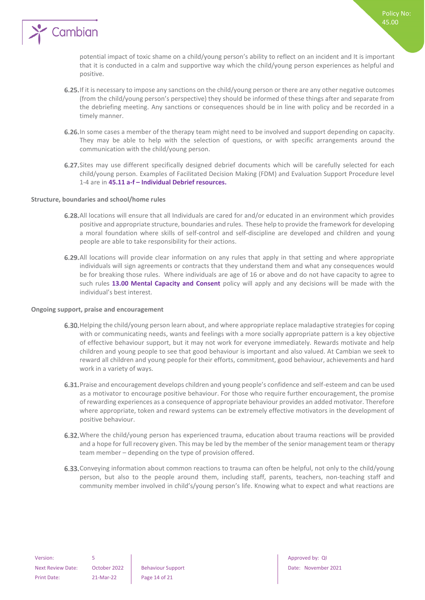

potential impact of toxic shame on a child/young person's ability to reflect on an incident and It is important that it is conducted in a calm and supportive way which the child/young person experiences as helpful and positive.

- 6.25. If it is necessary to impose any sanctions on the child/young person or there are any other negative outcomes (from the child/young person's perspective) they should be informed of these things after and separate from the debriefing meeting. Any sanctions or consequences should be in line with policy and be recorded in a timely manner.
- 6.26. In some cases a member of the therapy team might need to be involved and support depending on capacity. They may be able to help with the selection of questions, or with specific arrangements around the communication with the child/young person.
- 6.27. Sites may use different specifically designed debrief documents which will be carefully selected for each child/young person. Examples of Facilitated Decision Making (FDM) and Evaluation Support Procedure level 1-4 are in **45.11 a-f – Individual Debrief resources.**

#### <span id="page-13-0"></span>**Structure, boundaries and school/home rules**

- All locations will ensure that all Individuals are cared for and/or educated in an environment which provides positive and appropriate structure, boundaries and rules. These help to provide the framework for developing a moral foundation where skills of self-control and self-discipline are developed and children and young people are able to take responsibility for their actions.
- 6.29. All locations will provide clear information on any rules that apply in that setting and where appropriate individuals will sign agreements or contracts that they understand them and what any consequences would be for breaking those rules. Where individuals are age of 16 or above and do not have capacity to agree to such rules **13.00 Mental Capacity and Consent** policy will apply and any decisions will be made with the individual's best interest.

#### <span id="page-13-1"></span>**Ongoing support, praise and encouragement**

- 6.30. Helping the child/young person learn about, and where appropriate replace maladaptive strategies for coping with or communicating needs, wants and feelings with a more socially appropriate pattern is a key objective of effective behaviour support, but it may not work for everyone immediately. Rewards motivate and help children and young people to see that good behaviour is important and also valued. At Cambian we seek to reward all children and young people for their efforts, commitment, good behaviour, achievements and hard work in a variety of ways.
- 6.31. Praise and encouragement develops children and young people's confidence and self-esteem and can be used as a motivator to encourage positive behaviour. For those who require further encouragement, the promise of rewarding experiences as a consequence of appropriate behaviour provides an added motivator. Therefore where appropriate, token and reward systems can be extremely effective motivators in the development of positive behaviour.
- 6.32. Where the child/young person has experienced trauma, education about trauma reactions will be provided and a hope for full recovery given. This may be led by the member of the senior management team or therapy team member – depending on the type of provision offered.
- 6.33. Conveying information about common reactions to trauma can often be helpful, not only to the child/young person, but also to the people around them, including staff, parents, teachers, non-teaching staff and community member involved in child's/young person's life. Knowing what to expect and what reactions are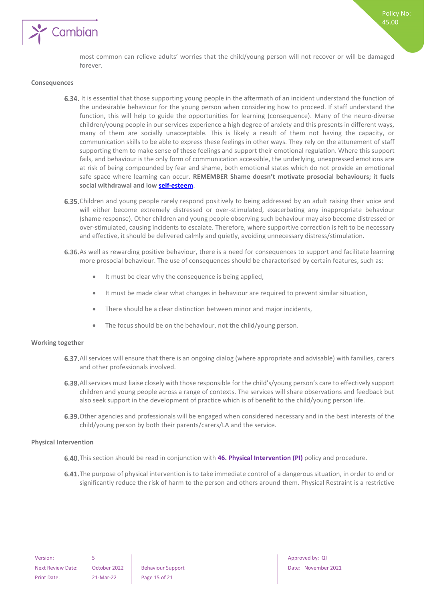

most common can relieve adults' worries that the child/young person will not recover or will be damaged forever.

#### <span id="page-14-0"></span>**Consequences**

- 6.34. It is essential that those supporting young people in the aftermath of an incident understand the function of the undesirable behaviour for the young person when considering how to proceed. If staff understand the function, this will help to guide the opportunities for learning (consequence). Many of the neuro-diverse children/young people in our services experience a high degree of anxiety and this presents in different ways, many of them are socially unacceptable. This is likely a result of them not having the capacity, or communication skills to be able to express these feelings in other ways. They rely on the attunement of staff supporting them to make sense of these feelings and support their emotional regulation. Where this support fails, and behaviour is the only form of communication accessible, the underlying, unexpressed emotions are at risk of being compounded by fear and shame, both emotional states which do not provide an emotional safe space where learning can occur. **REMEMBER Shame doesn't motivate prosocial behaviours; it fuels social withdrawal and low [self-esteem](https://www.psychologytoday.com/us/basics/self-esteem)**.
- 6.35. Children and young people rarely respond positively to being addressed by an adult raising their voice and will either become extremely distressed or over-stimulated, exacerbating any inappropriate behaviour (shame response). Other children and young people observing such behaviour may also become distressed or over-stimulated, causing incidents to escalate. Therefore, where supportive correction is felt to be necessary and effective, it should be delivered calmly and quietly, avoiding unnecessary distress/stimulation.
- 6.36. As well as rewarding positive behaviour, there is a need for consequences to support and facilitate learning more prosocial behaviour. The use of consequences should be characterised by certain features, such as:
	- It must be clear why the consequence is being applied,
	- It must be made clear what changes in behaviour are required to prevent similar situation,
	- There should be a clear distinction between minor and major incidents,
	- The focus should be on the behaviour, not the child/young person.

#### <span id="page-14-1"></span>**Working together**

- 6.37. All services will ensure that there is an ongoing dialog (where appropriate and advisable) with families, carers and other professionals involved.
- 6.38. All services must liaise closely with those responsible for the child's/young person's care to effectively support children and young people across a range of contexts. The services will share observations and feedback but also seek support in the development of practice which is of benefit to the child/young person life.
- 6.39. Other agencies and professionals will be engaged when considered necessary and in the best interests of the child/young person by both their parents/carers/LA and the service.

#### <span id="page-14-2"></span>**Physical Intervention**

- 6.40. This section should be read in conjunction with 46. Physical Intervention (PI) policy and procedure.
- 6.41. The purpose of physical intervention is to take immediate control of a dangerous situation, in order to end or significantly reduce the risk of harm to the person and others around them. Physical Restraint is a restrictive

Next Review Date: October 2022 Behaviour Support Date: November 2021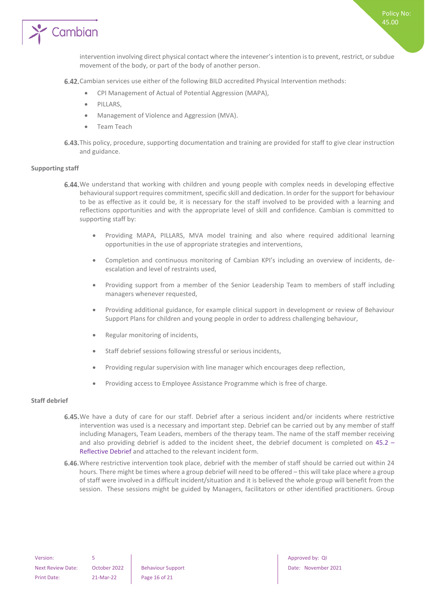

Policy No: 45.00

6.42. Cambian services use either of the following BILD accredited Physical Intervention methods:

- CPI Management of Actual of Potential Aggression (MAPA),
- PILLARS,
- Management of Violence and Aggression (MVA).
- Team Teach
- 6.43. This policy, procedure, supporting documentation and training are provided for staff to give clear instruction and guidance.

#### <span id="page-15-0"></span>**Supporting staff**

- 6.44. We understand that working with children and young people with complex needs in developing effective behavioural support requires commitment, specific skill and dedication. In order for the support for behaviour to be as effective as it could be, it is necessary for the staff involved to be provided with a learning and reflections opportunities and with the appropriate level of skill and confidence. Cambian is committed to supporting staff by:
	- Providing MAPA, PILLARS, MVA model training and also where required additional learning opportunities in the use of appropriate strategies and interventions,
	- Completion and continuous monitoring of Cambian KPI's including an overview of incidents, deescalation and level of restraints used,
	- Providing support from a member of the Senior Leadership Team to members of staff including managers whenever requested,
	- Providing additional guidance, for example clinical support in development or review of Behaviour Support Plans for children and young people in order to address challenging behaviour,
	- Regular monitoring of incidents,
	- Staff debrief sessions following stressful or serious incidents,
	- Providing regular supervision with line manager which encourages deep reflection,
	- Providing access to Employee Assistance Programme which is free of charge.

#### <span id="page-15-1"></span>**Staff debrief**

- 6.45. We have a duty of care for our staff. Debrief after a serious incident and/or incidents where restrictive intervention was used is a necessary and important step. Debrief can be carried out by any member of staff including Managers, Team Leaders, members of the therapy team. The name of the staff member receiving and also providing debrief is added to the incident sheet, the debrief document is completed on 45.2 – Reflective Debrief and attached to the relevant incident form.
- 6.46. Where restrictive intervention took place, debrief with the member of staff should be carried out within 24 hours. There might be times where a group debrief will need to be offered – this will take place where a group of staff were involved in a difficult incident/situation and it is believed the whole group will benefit from the session. These sessions might be guided by Managers, facilitators or other identified practitioners. Group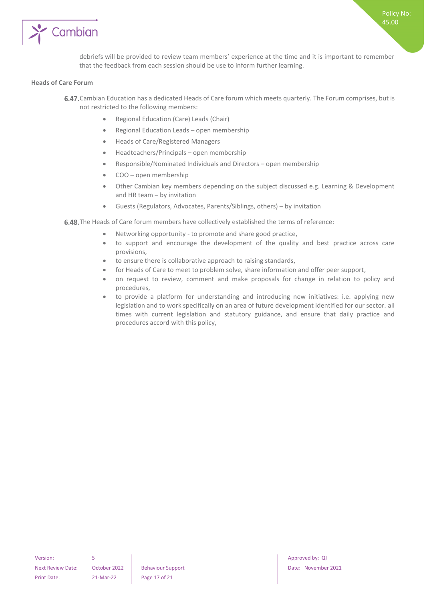

debriefs will be provided to review team members' experience at the time and it is important to remember that the feedback from each session should be use to inform further learning.

#### <span id="page-16-0"></span>**Heads of Care Forum**

- 6.47. Cambian Education has a dedicated Heads of Care forum which meets quarterly. The Forum comprises, but is not restricted to the following members:
	- Regional Education (Care) Leads (Chair)
	- Regional Education Leads open membership
	- Heads of Care/Registered Managers
	- Headteachers/Principals open membership
	- Responsible/Nominated Individuals and Directors open membership
	- COO open membership
	- Other Cambian key members depending on the subject discussed e.g. Learning & Development and HR team – by invitation
	- Guests (Regulators, Advocates, Parents/Siblings, others) by invitation

6.48. The Heads of Care forum members have collectively established the terms of reference:

- Networking opportunity to promote and share good practice,
- to support and encourage the development of the quality and best practice across care provisions,
- to ensure there is collaborative approach to raising standards,
- for Heads of Care to meet to problem solve, share information and offer peer support,
- on request to review, comment and make proposals for change in relation to policy and procedures,
- to provide a platform for understanding and introducing new initiatives: i.e. applying new legislation and to work specifically on an area of future development identified for our sector. all times with current legislation and statutory guidance, and ensure that daily practice and procedures accord with this policy,

Version: 5 **5** Approved by: QI Next Review Date: October 2022 Behaviour Support Date: November 2021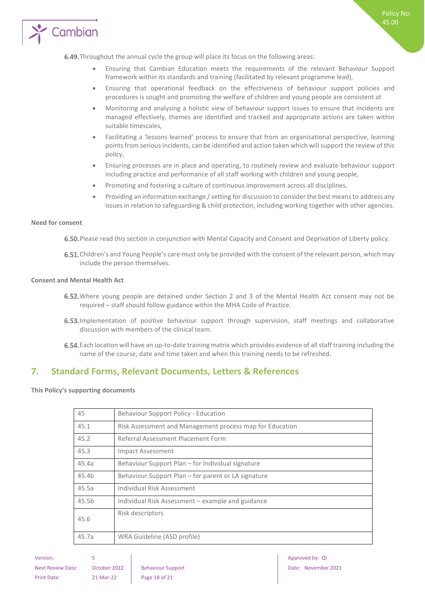

- Ensuring that Cambian Education meets the requirements of the relevant Behaviour Support framework within its standards and training (facilitated by relevant programme lead),
- Ensuring that operational feedback on the effectiveness of behaviour support policies and procedures is sought and promoting the welfare of children and young people are consistent at
- Monitoring and analysing a holistic view of behaviour support issues to ensure that incidents are managed effectively, themes are identified and tracked and appropriate actions are taken within suitable timescales,
- Facilitating a 'lessons learned' process to ensure that from an organisational perspective, learning points from serious incidents, can be identified and action taken which will support the review of this policy,
- Ensuring processes are in place and operating, to routinely review and evaluate behaviour support including practice and performance of all staff working with children and young people,
- Promoting and fostering a culture of continuous improvement across all disciplines,
- Providing an information exchange / setting for discussion to consider the best means to address any issues in relation to safeguarding & child protection, including working together with other agencies.

#### <span id="page-17-0"></span>**Need for consent**

6.50. Please read this section in conjunction with Mental Capacity and Consent and Deprivation of Liberty policy.

6.51. Children's and Young People's care must only be provided with the consent of the relevant person, which may include the person themselves.

#### <span id="page-17-1"></span>**Consent and Mental Health Act**

- 6.52. Where young people are detained under Section 2 and 3 of the Mental Health Act consent may not be required – staff should follow guidance within the MHA Code of Practice.
- 6.53. Implementation of positive behaviour support through supervision, staff meetings and collaborative discussion with members of the clinical team.
- Each location will have an up-to-date training matrix which provides evidence of all staff training including the name of the course, date and time taken and when this training needs to be refreshed.

## <span id="page-17-2"></span>**7. Standard Forms, Relevant Documents, Letters & References**

<span id="page-17-3"></span>**This Policy's supporting documents**

| 45    | Behaviour Support Policy - Education                     |
|-------|----------------------------------------------------------|
| 45.1  | Risk Assessment and Management process map for Education |
| 45.2  | Referral Assessment Placement Form                       |
| 45.3  | Impact Assessment                                        |
| 45.4a | Behaviour Support Plan – for Individual signature        |
| 45.4b | Behaviour Support Plan – for parent or LA signature      |
| 45.5a | Individual Risk Assessment                               |
| 45.5b | Individual Risk Assessment - example and guidance        |
| 45.6  | Risk descriptors                                         |
| 45.7a | WRA Guideline (ASD profile)                              |

Policy No: 45.00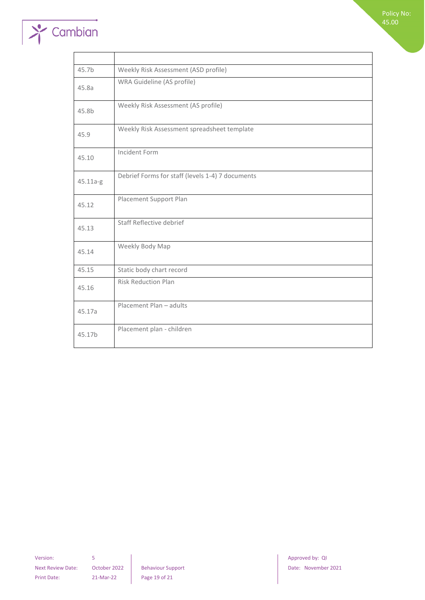

| 45.7b    | Weekly Risk Assessment (ASD profile)             |
|----------|--------------------------------------------------|
| 45.8a    | WRA Guideline (AS profile)                       |
| 45.8b    | Weekly Risk Assessment (AS profile)              |
| 45.9     | Weekly Risk Assessment spreadsheet template      |
| 45.10    | Incident Form                                    |
| 45.11a-g | Debrief Forms for staff (levels 1-4) 7 documents |
| 45.12    | Placement Support Plan                           |
| 45.13    | Staff Reflective debrief                         |
| 45.14    | Weekly Body Map                                  |
| 45.15    | Static body chart record                         |
| 45.16    | <b>Risk Reduction Plan</b>                       |
| 45.17a   | Placement Plan - adults                          |
| 45.17b   | Placement plan - children                        |

Version: 5 **5 1 Approved by: QI** Print Date: 21-Mar-22 Page 19 of 21

Next Review Date: October 2022 Behaviour Support Date: November 2021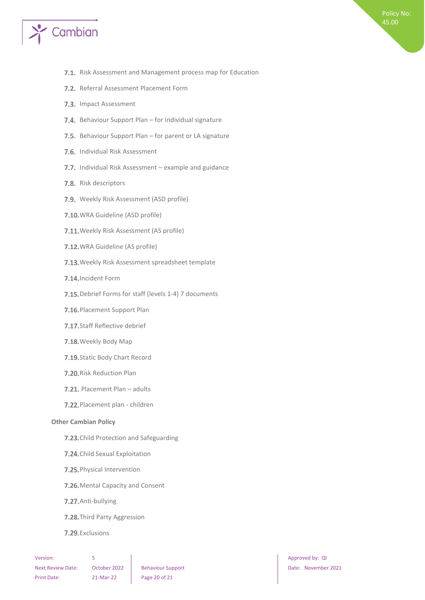

- 7.1. Risk Assessment and Management process map for Education
- 7.2. Referral Assessment Placement Form
- 7.3. Impact Assessment
- 7.4. Behaviour Support Plan for Individual signature
- 7.5. Behaviour Support Plan for parent or LA signature
- 7.6. Individual Risk Assessment
- 7.7. Individual Risk Assessment example and guidance
- 7.8. Risk descriptors
- 7.9. Weekly Risk Assessment (ASD profile)
- 7.10. WRA Guideline (ASD profile)
- 7.11. Weekly Risk Assessment (AS profile)
- 7.12. WRA Guideline (AS profile)
- 7.13. Weekly Risk Assessment spreadsheet template
- 7.14. Incident Form
- 7.15. Debrief Forms for staff (levels 1-4) 7 documents
- 7.16. Placement Support Plan
- 7.17. Staff Reflective debrief
- 7.18. Weekly Body Map
- 7.19. Static Body Chart Record
- 7.20. Risk Reduction Plan
- 7.21. Placement Plan adults
- 7.22. Placement plan children

#### <span id="page-19-0"></span>**Other Cambian Policy**

- 7.23. Child Protection and Safeguarding
- 7.24. Child Sexual Exploitation
- 7.25. Physical Intervention
- 7.26. Mental Capacity and Consent
- 7.27. Anti-bullying
- 7.28. Third Party Aggression
- 7.29. Exclusions